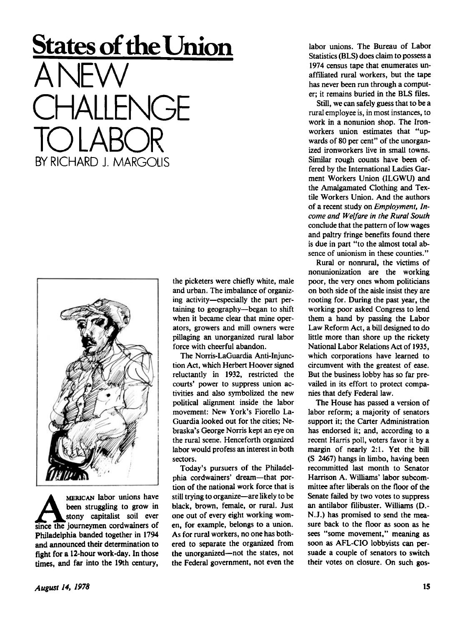# **States of the Union**

ANEW CHALLENGE TO LABOR BY RICHARD L MARGOLIS



MERICAN labor unions have<br>been struggling to grow in<br>since the journeymen cordwainers of MERICAN labor unions have been struggling to grow in stony capitalist soil ever Philadelphia banded together in 1794 and announced their determination to fight for a 12-hour work-day. In those times, and far into the 19th century,

the picketers were chiefly white, male and urban. The imbalance of organizing activity—especially the part pertaining to geography—began to shift when it became clear that mine operators, growers and mill owners were pillaging an unorganized rural labor force with cheerful abandon.

The Norris-LaGuardia Anti-Injunction Act, which Herbert Hoover signed reluctantly in 1932, restricted the courts' power to suppress union activities and also symbolized the new political alignment inside the labor movement: New York's Fiorello La-Guardia looked out for the cities; Nebraska's George Norris kept an eye on the rural scene. Henceforth organized labor would profess an interest in both sectors.

Today's pursuers of the Philadelphia cordwainers' dream—that portion of the national work force that is still trying to organize—are likely to be black, brown, female, or rural. Just one out of every eight working women, for example, belongs to a union. As for rural workers, no one has bothered to separate the organized from the unorganized—not the states, not the Federal government, not even the

labor unions. The Bureau of Labor Statistics *(BIS)* does claim to possess a 1974 census tape that enumerates unaffiliated rural workers, but the tape has never been run through a computer; it remains buried in the BLS files.

Still, we can safely guess that to be a rural employee is, in most instances, to work in a nonunion shop. The Ironworkers union estimates that "upwards of 80 per cent" of the unorganized ironworkers live in small towns. Similar rough counts have been offered by the International Ladies Garment Workers Union (ILGWU) and the Amalgamated Clothing and Textile Workers Union. And the authors of a recent study on *Employment, Income and Welfare in the Rural South*  conclude that the pattern of low wages and paltry fringe benefits found there is due in part "to the almost total absence of unionism in these counties."

Rural or nonrural, the victims of nonunionization are the working poor, the very ones whom politicians on both side of the aisle insist they are rooting for. During the past year, the working poor asked Congress to lend them a hand by passing the Labor Law Reform Act, a bill designed to do little more than shore up the rickety National Labor Relations Act of 1935, which corporations have learned to circumvent with the greatest of ease. But the business lobby has so far prevailed in its effort to protect companies that defy Federal law.

The House has passed a version of labor reform; a majority of senators support it; the Carter Administration has endorsed it; and, according to a recent Harris poll, voters favor it by a margin of nearly 2:1. Yet the bill (S 2467) hangs in limbo, having been recommitted last month to Senator Harrison A. Williams' labor subcommittee after liberals on the floor of the Senate failed by two votes to suppress an antilabor filibuster. Williams (D.- N.J.) has promised to send the measure back to the floor as soon as he sees "some movement," meaning as soon as AFL-CIO lobbyists can persuade a couple of senators to switch their votes on closure. On such gos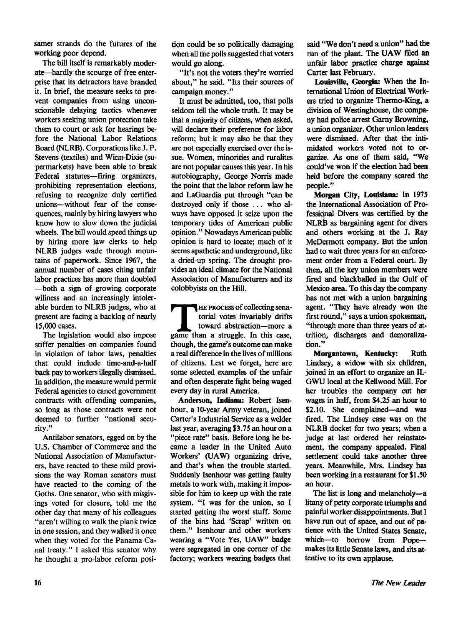samer strands do the futures of the working poor depend.

The bill itself is remarkably moderate—hardly the scourge of free enterprise that its detractors have branded it. In brief, the measure seeks to prevent companies from using unconscionable delaying tactics whenever workers seeking union protection take them to court or ask for hearings before the National Labor Relations Board (NLRB). Corporations like J. P. Stevens (textiles) and Winn-Dixie (supermarkets) have been able to break Federal statutes—firing organizers, prohibiting representation elections, refusing to recognize duly certified unions—without fear of the consequences, mainly by hiring lawyers who know how to slow down the judicial wheels. The bill would speed things up by hiring more law clerks to help NLRB judges wade through mountains of paperwork. Since 1967, the annual number of cases citing unfair labor practices has more than doubled —both a sign of growing corporate wiliness and an increasingly intolerable burden to NLRB judges, who at present are facing a backlog of nearly 15,000 cases.

The legislation would also impose stiffer penalties on companies found in violation of labor laws, penalties that could include time-and-a-half back pay to workers illegally dismissed. In addition, the measure would permit Federal agencies to cancel government contracts with offending companies, so long as those contracts were not deemed to further "national security."

Antilabor senators, egged on by the U.S. Chamber of Commerce and the National Association of Manufacturers, have reacted to these mild provisions the way Roman senators must have reacted to the coming of the Goths. One senator, who with misgivings voted for closure, told me the other day that many of his colleagues "aren't willing to walk the plank twice in one session, and they walked it once when they voted for the Panama Canal treaty." I asked this senator why he thought a pro-labor reform position could be so politically damaging when all the polls suggested that voters would go along.

"It's not the voters they're worried about," he said. "Its their sources of campaign money."

It must be admitted, too, that polls seldom tell the whole truth. It may be that a majority of citizens, when asked, will declare their preference for labor reform; but it may also be that they are not especially exercised over the issue. Women, minorities and ruralites are not popular causes this year. In his autobiography, George Norris made the point that the labor reform law he and LaGuardia put through "can be destroyed only if those ... who always have opposed it seize upon the temporary tides of American public opinion." Nowadays American public opinion is hard to locate; much of it seems apathetic and underground, like a dried-up spring. The drought provides an ideal climate for the National Association of Manufacturers and its colobbyists on the Hill.

**THE PROCESS of collecting senatorial votes invariably drifts toward abstraction—more a game than a struggle. In this case,** HE PROCESS of collecting senatorial votes invariably drifts toward abstraction—more a though, the game's outcome can make a real difference in the lives of millions of citizens. Lest we forget, here are some selected examples of the unfair and often desperate fight being waged every day in rural America.

**Anderson, Indiana:** Robert Isenhour, a 10-year Army veteran, joined Carter's Industrial Service as a welder last year, averaging \$3.75 an hour on a "piece rate" basis. Before long he became a leader in the United Auto Workers' (UAW) organizing drive, and that's when the trouble started. Suddenly Isenhour was getting faulty metals to work with, making it impossible for him to keep up with the rate system. "I was for the union, so I started getting the worst stuff. Some of the bins had 'Scrap' written on them." Isenhour and other workers wearing a "Vote Yes, UAW" badge were segregated in one corner of the factory; workers wearing badges that

said "We don't need a union" had **the**  run of the plant. The UAW filed an unfair labor practice charge against Carter last February.

**Louisville, Georgia:** When the International Union of Electrical Workers tried to organize Thermo-King, a division of Westinghouse, the company had police arrest Garny Browning, a union organizer. Other union leaders were dismissed. After that the intimidated workers voted not to organize. As one of them said, "We could've won if the election had been held before the company scared the people."

**Morgan City, Louisiana:** In 1975 the International Association of Professional Divers was certified by the NLRB as bargaining agent for divers and others working at the J. Ray McDermott company. But the union had to wait three years for an enforcement order from a Federal court. By then, all the key union members were fired and blackballed in the Gulf of Mexico area. To this day the company has not met with a union bargaining agent. "They have already won the first round," says a union spokesman, "through more than three years of attrition, discharges and demoralization."

**Morgantown, Kentucky:** Ruth Lindsey, a widow with six children, joined in an effort to organize an IL-G WU local at the Kellwood Mill. For her troubles the company cut her wages in half, from \$4.25 an hour to \$2.10. She complained—and was fired. The Lindsey case was on the NLRB docket for two years; when a judge at last ordered her reinstatement, the company appealed. Final settlement could take another three years. Meanwhile, Mrs. Lindsey has been working in a restaurant for \$1.50 an hour.

The list is long and melancholy—a litany of petty corporate triumphs and painful worker disappointments. But I have run out of space, and out of patience with the United States Senate, which-to borrow from Popemakes its little Senate laws, and sits attentive to its own applause.